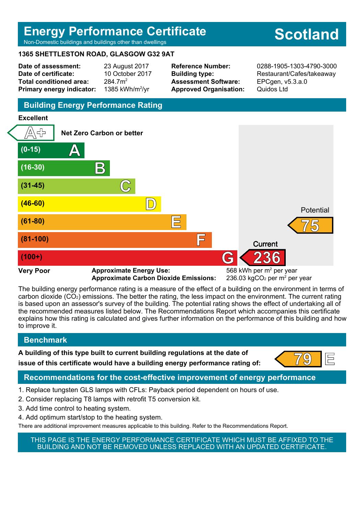# **Energy Performance Certificate**

Non-Domestic buildings and buildings other than dwellings

#### **1365 SHETTLESTON ROAD, GLASGOW G32 9AT**

**Date of assessment:** 23 August 2017 **Date of certificate:** 10 October 2017 **Total conditioned area:** 284.7m<sup>2</sup> **Primary energy indicator:** 

1385 kWh/m $^2$ /vr

**Assessment Software:** EPCgen, v5.3.a.0 **Approved Organisation:** Quidos Ltd

**Reference Number:** 0288-1905-1303-4790-3000 **Building type:** Restaurant/Cafes/takeaway

### **Building Energy Performance Rating**

#### **Excellent**



**Approximate Carbon Dioxide Emissions:** 

236.03 kgCO<sub>2</sub> per  $m^2$  per year

The building energy performance rating is a measure of the effect of a building on the environment in terms of carbon dioxide (CO2) emissions. The better the rating, the less impact on the environment. The current rating is based upon an assessor's survey of the building. The potential rating shows the effect of undertaking all of the recommended measures listed below. The Recommendations Report which accompanies this certificate explains how this rating is calculated and gives further information on the performance of this building and how to improve it.

#### **Benchmark**

**A building of this type built to current building regulations at the date of**

# **issue of this certificate would have a building energy performance rating of:**

#### **Recommendations for the cost-effective improvement of energy performance**

- 1. Replace tungsten GLS lamps with CFLs: Payback period dependent on hours of use.
- 2. Consider replacing T8 lamps with retrofit T5 conversion kit.
- 3. Add time control to heating system.
- 4. Add optimum start/stop to the heating system.
- There are additional improvement measures applicable to this building. Refer to the Recommendations Report.

THIS PAGE IS THE ENERGY PERFORMANCE CERTIFICATE WHICH MUST BE AFFIXED TO THE BUILDING AND NOT BE REMOVED UNLESS REPLACED WITH AN UPDATED CERTIFICATE.

# **Scotland**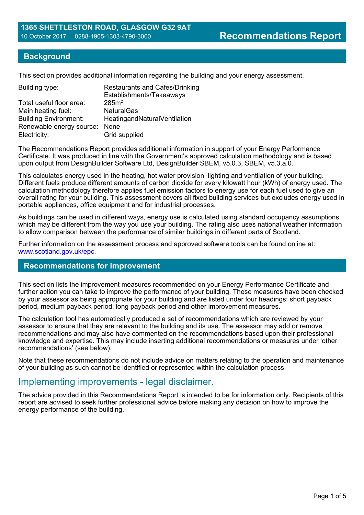#### **Background**

This section provides additional information regarding the building and your energy assessment.

| Building type:               | <b>Restaurants and Cafes/Drinking</b><br>Establishments/Takeaways |
|------------------------------|-------------------------------------------------------------------|
| Total useful floor area:     | 285m <sup>2</sup>                                                 |
| Main heating fuel:           | <b>NaturalGas</b>                                                 |
| <b>Building Environment:</b> | HeatingandNaturalVentilation                                      |
| Renewable energy source:     | None                                                              |
| Electricity:                 | Grid supplied                                                     |

The Recommendations Report provides additional information in support of your Energy Performance Certificate. It was produced in line with the Government's approved calculation methodology and is based upon output from DesignBuilder Software Ltd, DesignBuilder SBEM, v5.0.3, SBEM, v5.3.a.0.

This calculates energy used in the heating, hot water provision, lighting and ventilation of your building. Different fuels produce different amounts of carbon dioxide for every kilowatt hour (kWh) of energy used. The calculation methodology therefore applies fuel emission factors to energy use for each fuel used to give an overall rating for your building. This assessment covers all fixed building services but excludes energy used in portable appliances, office equipment and for industrial processes.

As buildings can be used in different ways, energy use is calculated using standard occupancy assumptions which may be different from the way you use your building. The rating also uses national weather information to allow comparison between the performance of similar buildings in different parts of Scotland.

Further information on the assessment process and approved software tools can be found online at: www.scotland.gov.uk/epc.

#### **Recommendations for improvement**

This section lists the improvement measures recommended on your Energy Performance Certificate and further action you can take to improve the performance of your building. These measures have been checked by your assessor as being appropriate for your building and are listed under four headings: short payback period, medium payback period, long payback period and other improvement measures.

The calculation tool has automatically produced a set of recommendations which are reviewed by your assessor to ensure that they are relevant to the building and its use. The assessor may add or remove recommendations and may also have commented on the recommendations based upon their professional knowledge and expertise. This may include inserting additional recommendations or measures under 'other recommendations' (see below).

Note that these recommendations do not include advice on matters relating to the operation and maintenance of your building as such cannot be identified or represented within the calculation process.

#### Implementing improvements - legal disclaimer.

The advice provided in this Recommendations Report is intended to be for information only. Recipients of this report are advised to seek further professional advice before making any decision on how to improve the energy performance of the building.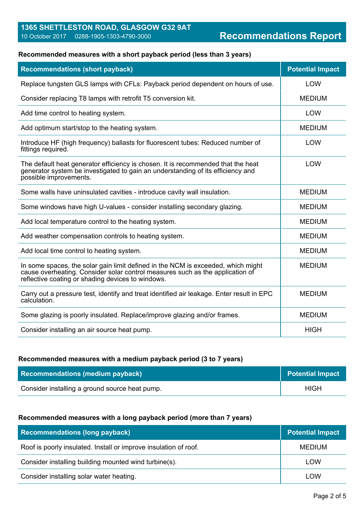# **1365 SHETTLESTON ROAD, GLASGOW G32 9AT**

### **Recommended measures with a short payback period (less than 3 years)**

| <b>Recommendations (short payback)</b>                                                                                                                                                                                 | <b>Potential Impact</b> |
|------------------------------------------------------------------------------------------------------------------------------------------------------------------------------------------------------------------------|-------------------------|
| Replace tungsten GLS lamps with CFLs: Payback period dependent on hours of use.                                                                                                                                        | <b>LOW</b>              |
| Consider replacing T8 lamps with retrofit T5 conversion kit.                                                                                                                                                           | <b>MEDIUM</b>           |
| Add time control to heating system.                                                                                                                                                                                    | <b>LOW</b>              |
| Add optimum start/stop to the heating system.                                                                                                                                                                          | <b>MEDIUM</b>           |
| Introduce HF (high frequency) ballasts for fluorescent tubes: Reduced number of<br>fittings required.                                                                                                                  | <b>LOW</b>              |
| The default heat generator efficiency is chosen. It is recommended that the heat<br>generator system be investigated to gain an understanding of its efficiency and<br>possible improvements.                          | LOW                     |
| Some walls have uninsulated cavities - introduce cavity wall insulation.                                                                                                                                               | <b>MEDIUM</b>           |
| Some windows have high U-values - consider installing secondary glazing.                                                                                                                                               | <b>MEDIUM</b>           |
| Add local temperature control to the heating system.                                                                                                                                                                   | <b>MEDIUM</b>           |
| Add weather compensation controls to heating system.                                                                                                                                                                   | <b>MEDIUM</b>           |
| Add local time control to heating system.                                                                                                                                                                              | <b>MEDIUM</b>           |
| In some spaces, the solar gain limit defined in the NCM is exceeded, which might<br>cause overheating. Consider solar control measures such as the application of<br>reflective coating or shading devices to windows. | <b>MEDIUM</b>           |
| Carry out a pressure test, identify and treat identified air leakage. Enter result in EPC<br>calculation.                                                                                                              | <b>MEDIUM</b>           |
| Some glazing is poorly insulated. Replace/improve glazing and/or frames.                                                                                                                                               | <b>MEDIUM</b>           |
| Consider installing an air source heat pump.                                                                                                                                                                           | <b>HIGH</b>             |

#### **Recommended measures with a medium payback period (3 to 7 years)**

| <b>Recommendations (medium payback)</b>        | <b>Potential Impact</b> |
|------------------------------------------------|-------------------------|
| Consider installing a ground source heat pump. | <b>HIGH</b>             |

#### **Recommended measures with a long payback period (more than 7 years)**

| <b>Recommendations (long payback)</b>                            | <b>Potential Impact</b> |
|------------------------------------------------------------------|-------------------------|
| Roof is poorly insulated. Install or improve insulation of roof. | <b>MEDIUM</b>           |
| Consider installing building mounted wind turbine(s).            | LOW                     |
| Consider installing solar water heating.                         | LOW                     |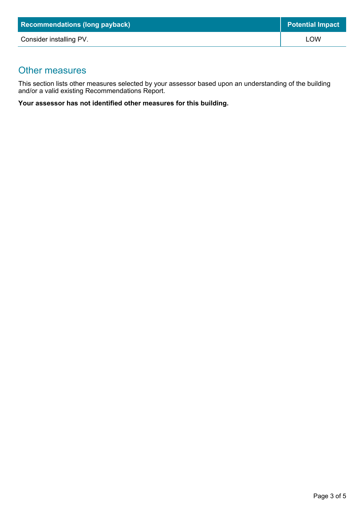| <b>Recommendations (long payback)</b> | <b>Potential Impact</b> |
|---------------------------------------|-------------------------|
| Consider installing PV.               | LOW                     |

### Other measures

This section lists other measures selected by your assessor based upon an understanding of the building and/or a valid existing Recommendations Report.

**Your assessor has not identified other measures for this building.**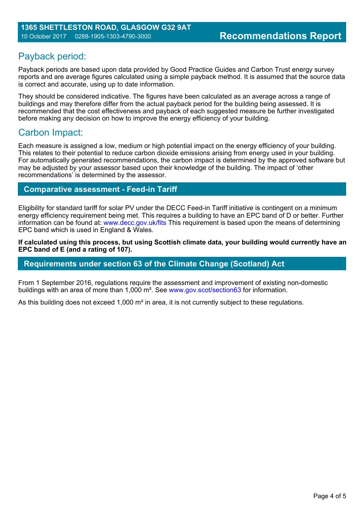## Payback period:

Payback periods are based upon data provided by Good Practice Guides and Carbon Trust energy survey reports and are average figures calculated using a simple payback method. It is assumed that the source data is correct and accurate, using up to date information.

They should be considered indicative. The figures have been calculated as an average across a range of buildings and may therefore differ from the actual payback period for the building being assessed. It is recommended that the cost effectiveness and payback of each suggested measure be further investigated before making any decision on how to improve the energy efficiency of your building.

## Carbon Impact:

Each measure is assigned a low, medium or high potential impact on the energy efficiency of your building. This relates to their potential to reduce carbon dioxide emissions arising from energy used in your building. For automatically generated recommendations, the carbon impact is determined by the approved software but may be adjusted by your assessor based upon their knowledge of the building. The impact of 'other recommendations' is determined by the assessor.

#### **Comparative assessment - Feed-in Tariff**

Eligibility for standard tariff for solar PV under the DECC Feed-in Tariff initiative is contingent on a minimum energy efficiency requirement being met. This requires a building to have an EPC band of D or better. Further information can be found at: www.decc.gov.uk/fits This requirement is based upon the means of determining EPC band which is used in England & Wales.

**If calculated using this process, but using Scottish climate data, your building would currently have an EPC band of E (and a rating of 107).**

#### **Requirements under section 63 of the Climate Change (Scotland) Act**

From 1 September 2016, regulations require the assessment and improvement of existing non-domestic buildings with an area of more than 1,000 m². See www.gov.scot/section63 for information.

As this building does not exceed 1,000 m<sup>2</sup> in area, it is not currently subject to these regulations.